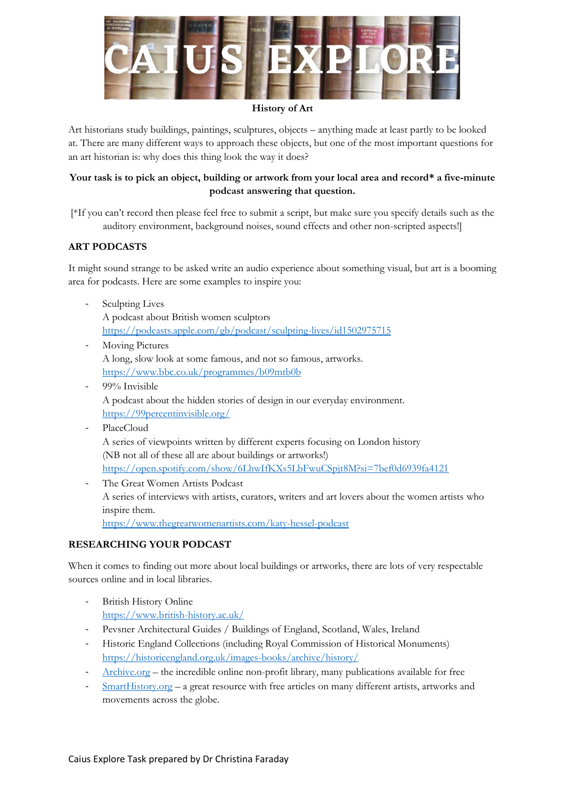

#### **History of Art**

Art historians study buildings, paintings, sculptures, objects – anything made at least partly to be looked at. There are many different ways to approach these objects, but one of the most important questions for an art historian is: why does this thing look the way it does?

# **Your task is to pick an object, building or artwork from your local area and record\* a five-minute podcast answering that question.**

[\*If you can't record then please feel free to submit a script, but make sure you specify details such as the auditory environment, background noises, sound effects and other non-scripted aspects!]

### **ART PODCASTS**

It might sound strange to be asked write an audio experience about something visual, but art is a booming area for podcasts. Here are some examples to inspire you:

- Sculpting Lives A podcast about British women sculptors <https://podcasts.apple.com/gb/podcast/sculpting-lives/id1502975715>
- Moving Pictures A long, slow look at some famous, and not so famous, artworks. <https://www.bbc.co.uk/programmes/b09mtb0b>
- 99% Invisible A podcast about the hidden stories of design in our everyday environment. <https://99percentinvisible.org/>
- PlaceCloud A series of viewpoints written by different experts focusing on London history (NB not all of these all are about buildings or artworks!) <https://open.spotify.com/show/6LhwIfKXs5LbFwuCSpjt8M?si=7bef0d6939fa4121>
- The Great Women Artists Podcast A series of interviews with artists, curators, writers and art lovers about the women artists who inspire them. <https://www.thegreatwomenartists.com/katy-hessel-podcast>

### **RESEARCHING YOUR PODCAST**

When it comes to finding out more about local buildings or artworks, there are lots of very respectable sources online and in local libraries.

- British History Online <https://www.british-history.ac.uk/>
- Pevsner Architectural Guides / Buildings of England, Scotland, Wales, Ireland
- Historic England Collections (including Royal Commission of Historical Monuments) <https://historicengland.org.uk/images-books/archive/history/>
- [Archive.org](https://archive.org/) the incredible online non-profit library, many publications available for free
- [SmartHistory.org](https://smarthistory.org/) a great resource with free articles on many different artists, artworks and movements across the globe.